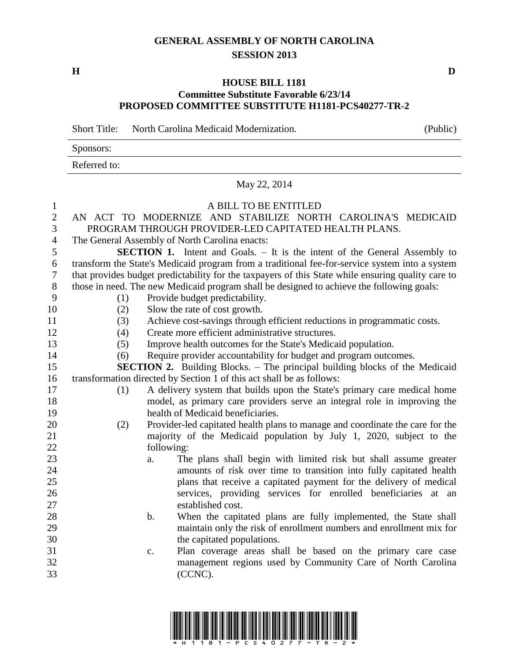## **GENERAL ASSEMBLY OF NORTH CAROLINA SESSION 2013**

## **HOUSE BILL 1181 Committee Substitute Favorable 6/23/14 PROPOSED COMMITTEE SUBSTITUTE H1181-PCS40277-TR-2**

Short Title: North Carolina Medicaid Modernization. (Public)

| Sponsors:    |  |  |  |  |
|--------------|--|--|--|--|
| Referred to: |  |  |  |  |

## May 22, 2014

| $\mathbf{1}$     | A BILL TO BE ENTITLED                                                                              |
|------------------|----------------------------------------------------------------------------------------------------|
| $\overline{2}$   | AN ACT TO MODERNIZE AND STABILIZE NORTH CAROLINA'S MEDICAID                                        |
| 3                | PROGRAM THROUGH PROVIDER-LED CAPITATED HEALTH PLANS.                                               |
| $\overline{4}$   | The General Assembly of North Carolina enacts:                                                     |
| $\mathfrak s$    | <b>SECTION 1.</b> Intent and Goals. - It is the intent of the General Assembly to                  |
| 6                | transform the State's Medicaid program from a traditional fee-for-service system into a system     |
| $\boldsymbol{7}$ | that provides budget predictability for the taxpayers of this State while ensuring quality care to |
| $8\,$            | those in need. The new Medicaid program shall be designed to achieve the following goals:          |
| 9                | Provide budget predictability.<br>(1)                                                              |
| 10               | Slow the rate of cost growth.<br>(2)                                                               |
| 11               | Achieve cost-savings through efficient reductions in programmatic costs.<br>(3)                    |
| 12               | Create more efficient administrative structures.<br>(4)                                            |
| 13               | Improve health outcomes for the State's Medicaid population.<br>(5)                                |
| 14               | Require provider accountability for budget and program outcomes.<br>(6)                            |
| 15               | <b>SECTION 2.</b> Building Blocks. – The principal building blocks of the Medicaid                 |
| 16               | transformation directed by Section 1 of this act shall be as follows:                              |
| 17               | A delivery system that builds upon the State's primary care medical home<br>(1)                    |
| 18               | model, as primary care providers serve an integral role in improving the                           |
| 19               | health of Medicaid beneficiaries.                                                                  |
| 20               | Provider-led capitated health plans to manage and coordinate the care for the<br>(2)               |
| 21               | majority of the Medicaid population by July 1, 2020, subject to the                                |
| 22               | following:                                                                                         |
| 23               | The plans shall begin with limited risk but shall assume greater<br>a.                             |
| 24               | amounts of risk over time to transition into fully capitated health                                |
| 25               | plans that receive a capitated payment for the delivery of medical                                 |
| 26               | services, providing services for enrolled beneficiaries at an                                      |
| 27               | established cost.                                                                                  |
| 28               | When the capitated plans are fully implemented, the State shall<br>$\mathbf b$ .                   |
| 29               | maintain only the risk of enrollment numbers and enrollment mix for                                |
| 30               | the capitated populations.                                                                         |
| 31               | Plan coverage areas shall be based on the primary care case<br>$\mathbf{c}$ .                      |
| 32               | management regions used by Community Care of North Carolina                                        |
| 33               | (CCNC).                                                                                            |
|                  |                                                                                                    |
|                  |                                                                                                    |

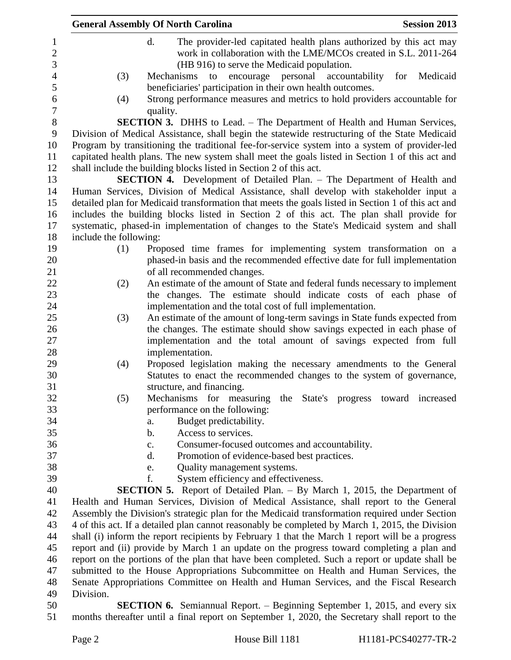|                        | <b>General Assembly Of North Carolina</b>                                                                                                                                  | <b>Session 2013</b> |
|------------------------|----------------------------------------------------------------------------------------------------------------------------------------------------------------------------|---------------------|
|                        | d.<br>The provider-led capitated health plans authorized by this act may                                                                                                   |                     |
|                        | work in collaboration with the LME/MCOs created in S.L. 2011-264                                                                                                           |                     |
|                        | (HB 916) to serve the Medicaid population.                                                                                                                                 |                     |
| (3)                    | encourage personal accountability<br>Mechanisms<br>to                                                                                                                      | for Medicaid        |
|                        | beneficiaries' participation in their own health outcomes.                                                                                                                 |                     |
| (4)                    | Strong performance measures and metrics to hold providers accountable for                                                                                                  |                     |
|                        | quality.                                                                                                                                                                   |                     |
|                        | <b>SECTION 3.</b> DHHS to Lead. - The Department of Health and Human Services,                                                                                             |                     |
|                        | Division of Medical Assistance, shall begin the statewide restructuring of the State Medicaid                                                                              |                     |
|                        | Program by transitioning the traditional fee-for-service system into a system of provider-led                                                                              |                     |
|                        | capitated health plans. The new system shall meet the goals listed in Section 1 of this act and                                                                            |                     |
|                        | shall include the building blocks listed in Section 2 of this act.                                                                                                         |                     |
|                        | <b>SECTION 4.</b> Development of Detailed Plan. – The Department of Health and                                                                                             |                     |
|                        | Human Services, Division of Medical Assistance, shall develop with stakeholder input a                                                                                     |                     |
|                        | detailed plan for Medicaid transformation that meets the goals listed in Section 1 of this act and                                                                         |                     |
|                        | includes the building blocks listed in Section 2 of this act. The plan shall provide for                                                                                   |                     |
|                        | systematic, phased-in implementation of changes to the State's Medicaid system and shall                                                                                   |                     |
| include the following: |                                                                                                                                                                            |                     |
| (1)                    | Proposed time frames for implementing system transformation on a<br>phased-in basis and the recommended effective date for full implementation                             |                     |
|                        | of all recommended changes.                                                                                                                                                |                     |
| (2)                    | An estimate of the amount of State and federal funds necessary to implement                                                                                                |                     |
|                        | the changes. The estimate should indicate costs of each phase of                                                                                                           |                     |
|                        | implementation and the total cost of full implementation.                                                                                                                  |                     |
| (3)                    | An estimate of the amount of long-term savings in State funds expected from                                                                                                |                     |
|                        | the changes. The estimate should show savings expected in each phase of                                                                                                    |                     |
|                        | implementation and the total amount of savings expected from full                                                                                                          |                     |
|                        | implementation.                                                                                                                                                            |                     |
| (4)                    | Proposed legislation making the necessary amendments to the General                                                                                                        |                     |
|                        | Statutes to enact the recommended changes to the system of governance,                                                                                                     |                     |
|                        | structure, and financing.                                                                                                                                                  |                     |
| (5)                    | Mechanisms for measuring the State's progress toward increased                                                                                                             |                     |
|                        | performance on the following:                                                                                                                                              |                     |
|                        | Budget predictability.<br>a.                                                                                                                                               |                     |
|                        | Access to services.<br>b.                                                                                                                                                  |                     |
|                        | Consumer-focused outcomes and accountability.<br>c.                                                                                                                        |                     |
|                        | d.<br>Promotion of evidence-based best practices.                                                                                                                          |                     |
|                        | Quality management systems.<br>e.                                                                                                                                          |                     |
|                        | System efficiency and effectiveness.<br>f.                                                                                                                                 |                     |
|                        | <b>SECTION 5.</b> Report of Detailed Plan. – By March 1, 2015, the Department of<br>Health and Human Services, Division of Medical Assistance, shall report to the General |                     |
|                        | Assembly the Division's strategic plan for the Medicaid transformation required under Section                                                                              |                     |
|                        | 4 of this act. If a detailed plan cannot reasonably be completed by March 1, 2015, the Division                                                                            |                     |
|                        | shall (i) inform the report recipients by February 1 that the March 1 report will be a progress                                                                            |                     |
|                        | report and (ii) provide by March 1 an update on the progress toward completing a plan and                                                                                  |                     |
|                        | report on the portions of the plan that have been completed. Such a report or update shall be                                                                              |                     |
|                        | submitted to the House Appropriations Subcommittee on Health and Human Services, the                                                                                       |                     |
|                        | Senate Appropriations Committee on Health and Human Services, and the Fiscal Research                                                                                      |                     |
| Division.              |                                                                                                                                                                            |                     |
|                        | <b>SECTION 6.</b> Semiannual Report. – Beginning September 1, 2015, and every six                                                                                          |                     |
|                        | months thereafter until a final report on September 1, 2020, the Secretary shall report to the                                                                             |                     |